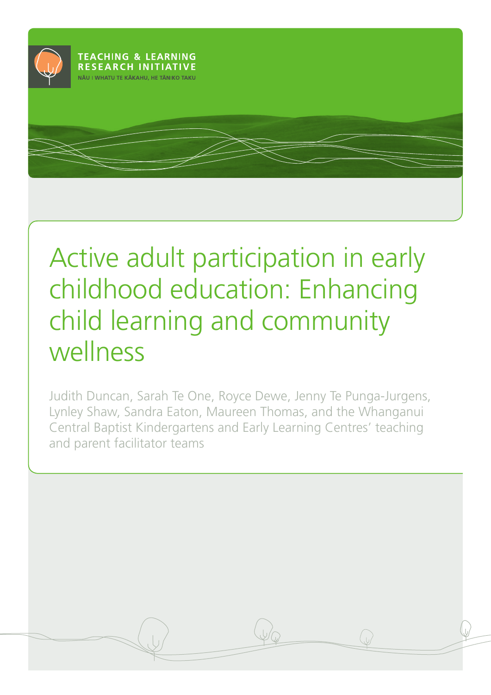

# Active adult participation in early childhood education: Enhancing child learning and community wellness

Judith Duncan, Sarah Te One, Royce Dewe, Jenny Te Punga-Jurgens, Lynley Shaw, Sandra Eaton, Maureen Thomas, and the Whanganui Central Baptist Kindergartens and Early Learning Centres' teaching and parent facilitator teams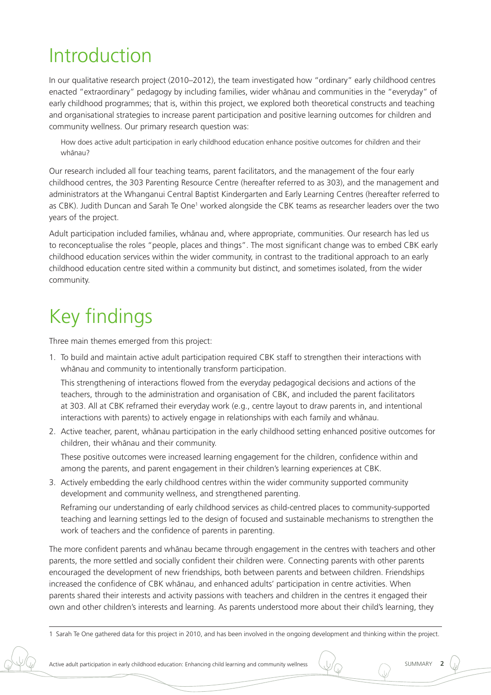## Introduction

In our qualitative research project (2010–2012), the team investigated how "ordinary" early childhood centres enacted "extraordinary" pedagogy by including families, wider whānau and communities in the "everyday" of early childhood programmes; that is, within this project, we explored both theoretical constructs and teaching and organisational strategies to increase parent participation and positive learning outcomes for children and community wellness. Our primary research question was:

How does active adult participation in early childhood education enhance positive outcomes for children and their whānau?

Our research included all four teaching teams, parent facilitators, and the management of the four early childhood centres, the 303 Parenting Resource Centre (hereafter referred to as 303), and the management and administrators at the Whanganui Central Baptist Kindergarten and Early Learning Centres (hereafter referred to as CBK). Judith Duncan and Sarah Te One<sup>1</sup> worked alongside the CBK teams as researcher leaders over the two years of the project.

Adult participation included families, whānau and, where appropriate, communities. Our research has led us to reconceptualise the roles "people, places and things". The most significant change was to embed CBK early childhood education services within the wider community, in contrast to the traditional approach to an early childhood education centre sited within a community but distinct, and sometimes isolated, from the wider community.

## Key findings

Three main themes emerged from this project:

1. To build and maintain active adult participation required CBK staff to strengthen their interactions with whānau and community to intentionally transform participation.

This strengthening of interactions flowed from the everyday pedagogical decisions and actions of the teachers, through to the administration and organisation of CBK, and included the parent facilitators at 303. All at CBK reframed their everyday work (e.g., centre layout to draw parents in, and intentional interactions with parents) to actively engage in relationships with each family and whānau.

2. Active teacher, parent, whānau participation in the early childhood setting enhanced positive outcomes for children, their whānau and their community.

These positive outcomes were increased learning engagement for the children, confidence within and among the parents, and parent engagement in their children's learning experiences at CBK.

3. Actively embedding the early childhood centres within the wider community supported community development and community wellness, and strengthened parenting. Reframing our understanding of early childhood services as child-centred places to community-supported teaching and learning settings led to the design of focused and sustainable mechanisms to strengthen the work of teachers and the confidence of parents in parenting.

The more confident parents and whānau became through engagement in the centres with teachers and other parents, the more settled and socially confident their children were. Connecting parents with other parents encouraged the development of new friendships, both between parents and between children. Friendships increased the confidence of CBK whānau, and enhanced adults' participation in centre activities. When parents shared their interests and activity passions with teachers and children in the centres it engaged their own and other children's interests and learning. As parents understood more about their child's learning, they



<sup>1</sup> Sarah Te One gathered data for this project in 2010, and has been involved in the ongoing development and thinking within the project.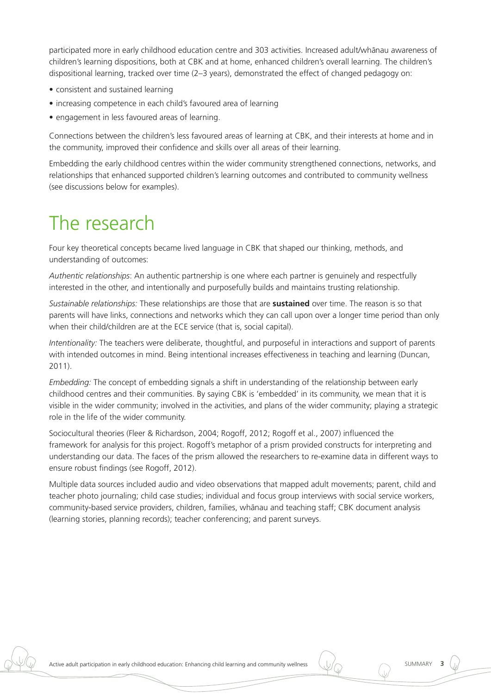participated more in early childhood education centre and 303 activities. Increased adult/whānau awareness of children's learning dispositions, both at CBK and at home, enhanced children's overall learning. The children's dispositional learning, tracked over time (2–3 years), demonstrated the effect of changed pedagogy on:

- consistent and sustained learning
- increasing competence in each child's favoured area of learning
- engagement in less favoured areas of learning.

Connections between the children's less favoured areas of learning at CBK, and their interests at home and in the community, improved their confidence and skills over all areas of their learning.

Embedding the early childhood centres within the wider community strengthened connections, networks, and relationships that enhanced supported children's learning outcomes and contributed to community wellness (see discussions below for examples).

### The research

Four key theoretical concepts became lived language in CBK that shaped our thinking, methods, and understanding of outcomes:

*Authentic relationships*: An authentic partnership is one where each partner is genuinely and respectfully interested in the other, and intentionally and purposefully builds and maintains trusting relationship.

*Sustainable relationships:* These relationships are those that are **sustained** over time. The reason is so that parents will have links, connections and networks which they can call upon over a longer time period than only when their child/children are at the ECE service (that is, social capital).

*Intentionality:* The teachers were deliberate, thoughtful, and purposeful in interactions and support of parents with intended outcomes in mind. Being intentional increases effectiveness in teaching and learning (Duncan, 2011).

*Embedding:* The concept of embedding signals a shift in understanding of the relationship between early childhood centres and their communities. By saying CBK is 'embedded' in its community, we mean that it is visible in the wider community; involved in the activities, and plans of the wider community; playing a strategic role in the life of the wider community.

Sociocultural theories (Fleer & Richardson, 2004; Rogoff, 2012; Rogoff et al., 2007) influenced the framework for analysis for this project. Rogoff's metaphor of a prism provided constructs for interpreting and understanding our data. The faces of the prism allowed the researchers to re-examine data in different ways to ensure robust findings (see Rogoff, 2012).

Multiple data sources included audio and video observations that mapped adult movements; parent, child and teacher photo journaling; child case studies; individual and focus group interviews with social service workers, community-based service providers, children, families, whānau and teaching staff; CBK document analysis (learning stories, planning records); teacher conferencing; and parent surveys.

Active adult participation in early childhood education: Enhancing child learning and community wellness  $\bigcup_{\text{max}}$  SUMMARY 3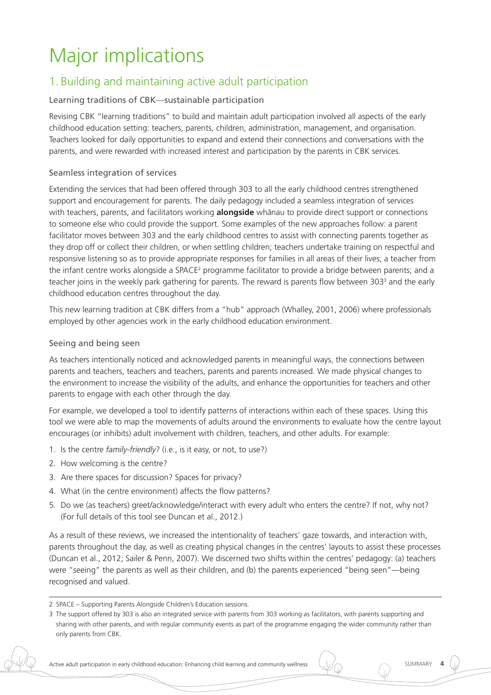## Major implications

### 1. Building and maintaining active adult participation

#### Learning traditions of CBK—sustainable participation

Revising CBK "learning traditions" to build and maintain adult participation involved all aspects of the early childhood education setting: teachers, parents, children, administration, management, and organisation. Teachers looked for daily opportunities to expand and extend their connections and conversations with the parents, and were rewarded with increased interest and participation by the parents in CBK services.

#### Seamless integration of services

Extending the services that had been offered through 303 to all the early childhood centres strengthened support and encouragement for parents. The daily pedagogy included a seamless integration of services with teachers, parents, and facilitators working **alongside** whanau to provide direct support or connections to someone else who could provide the support. Some examples of the new approaches follow: a parent facilitator moves between 303 and the early childhood centres to assist with connecting parents together as they drop off or collect their children, or when settling children; teachers undertake training on respectful and responsive listening so as to provide appropriate responses for families in all areas of their lives; a teacher from the infant centre works alongside a SPACE<sup>2</sup> programme facilitator to provide a bridge between parents; and a teacher joins in the weekly park gathering for parents. The reward is parents flow between 303<sup>3</sup> and the early childhood education centres throughout the day.

This new learning tradition at CBK differs from a "hub" approach (Whalley, 2001, 2006) where professionals employed by other agencies work in the early childhood education environment.

#### Seeing and being seen

As teachers intentionally noticed and acknowledged parents in meaningful ways, the connections between parents and teachers, teachers and teachers, parents and parents increased. We made physical changes to the environment to increase the visibility of the adults, and enhance the opportunities for teachers and other parents to engage with each other through the day.

For example, we developed a tool to identify patterns of interactions within each of these spaces. Using this tool we were able to map the movements of adults around the environments to evaluate how the centre layout encourages (or inhibits) adult involvement with children, teachers, and other adults. For example:

- 1. Is the centre *family-friendly*? (i.e., is it easy, or not, to use?)
- 2. How welcoming is the centre?
- 3. Are there spaces for discussion? Spaces for privacy?
- 4. What (in the centre environment) affects the flow patterns?
- 5. Do we (as teachers) greet/acknowledge/interact with every adult who enters the centre? If not, why not? (For full details of this tool see Duncan et al., 2012.)

As a result of these reviews, we increased the intentionality of teachers' gaze towards, and interaction with, parents throughout the day, as well as creating physical changes in the centres' layouts to assist these processes (Duncan et al., 2012; Sailer & Penn, 2007). We discerned two shifts within the centres' pedagogy: (a) teachers were "seeing" the parents as well as their children, and (b) the parents experienced "being seen"—being recognised and valued.



<sup>2</sup> SPACE – Supporting Parents Alongside Children's Education sessions.

<sup>3</sup> The support offered by 303 is also an integrated service with parents from 303 working as facilitators, with parents supporting and sharing with other parents, and with regular community events as part of the programme engaging the wider community rather than only parents from CBK.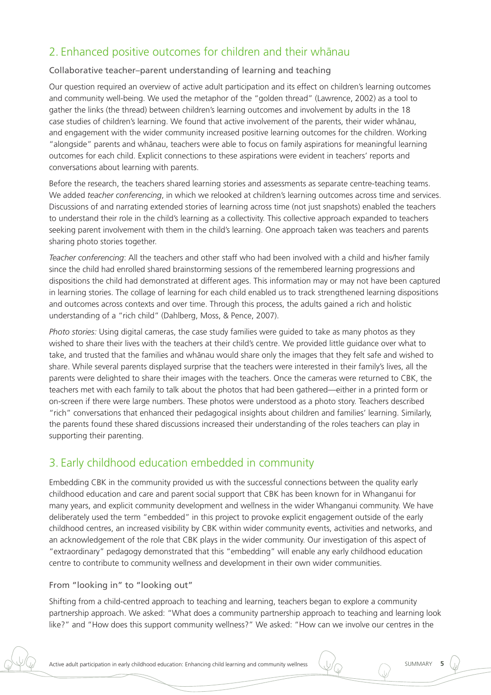### 2. Enhanced positive outcomes for children and their whanau

#### Collaborative teacher–parent understanding of learning and teaching

Our question required an overview of active adult participation and its effect on children's learning outcomes and community well-being. We used the metaphor of the "golden thread" (Lawrence, 2002) as a tool to gather the links (the thread) between children's learning outcomes and involvement by adults in the 18 case studies of children's learning. We found that active involvement of the parents, their wider whānau, and engagement with the wider community increased positive learning outcomes for the children. Working "alongside" parents and whānau, teachers were able to focus on family aspirations for meaningful learning outcomes for each child. Explicit connections to these aspirations were evident in teachers' reports and conversations about learning with parents.

Before the research, the teachers shared learning stories and assessments as separate centre-teaching teams. We added *teacher conferencing*, in which we relooked at children's learning outcomes across time and services. Discussions of and narrating extended stories of learning across time (not just snapshots) enabled the teachers to understand their role in the child's learning as a collectivity. This collective approach expanded to teachers seeking parent involvement with them in the child's learning. One approach taken was teachers and parents sharing photo stories together.

*Teacher conferencing*: All the teachers and other staff who had been involved with a child and his/her family since the child had enrolled shared brainstorming sessions of the remembered learning progressions and dispositions the child had demonstrated at different ages. This information may or may not have been captured in learning stories. The collage of learning for each child enabled us to track strengthened learning dispositions and outcomes across contexts and over time. Through this process, the adults gained a rich and holistic understanding of a "rich child" (Dahlberg, Moss, & Pence, 2007).

*Photo stories:* Using digital cameras, the case study families were guided to take as many photos as they wished to share their lives with the teachers at their child's centre. We provided little guidance over what to take, and trusted that the families and whānau would share only the images that they felt safe and wished to share. While several parents displayed surprise that the teachers were interested in their family's lives, all the parents were delighted to share their images with the teachers. Once the cameras were returned to CBK, the teachers met with each family to talk about the photos that had been gathered—either in a printed form or on-screen if there were large numbers. These photos were understood as a photo story. Teachers described "rich" conversations that enhanced their pedagogical insights about children and families' learning. Similarly, the parents found these shared discussions increased their understanding of the roles teachers can play in supporting their parenting.

### 3. Early childhood education embedded in community

Embedding CBK in the community provided us with the successful connections between the quality early childhood education and care and parent social support that CBK has been known for in Whanganui for many years, and explicit community development and wellness in the wider Whanganui community. We have deliberately used the term "embedded" in this project to provoke explicit engagement outside of the early childhood centres, an increased visibility by CBK within wider community events, activities and networks, and an acknowledgement of the role that CBK plays in the wider community. Our investigation of this aspect of "extraordinary" pedagogy demonstrated that this "embedding" will enable any early childhood education centre to contribute to community wellness and development in their own wider communities.

#### From "looking in" to "looking out"

Shifting from a child-centred approach to teaching and learning, teachers began to explore a community partnership approach. We asked: "What does a community partnership approach to teaching and learning look like?" and "How does this support community wellness?" We asked: "How can we involve our centres in the



Active adult participation in early childhood education: Enhancing child learning and community wellness (U/

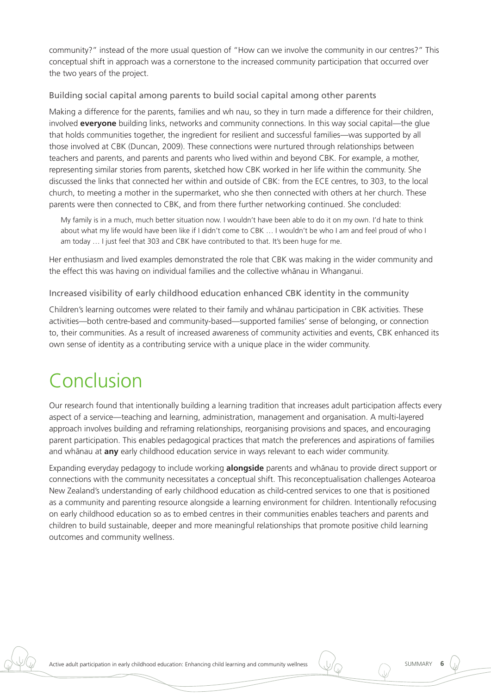community?" instead of the more usual question of "How can we involve the community in our centres?" This conceptual shift in approach was a cornerstone to the increased community participation that occurred over the two years of the project.

#### Building social capital among parents to build social capital among other parents

Making a difference for the parents, families and wh nau, so they in turn made a difference for their children, involved **everyone** building links, networks and community connections. In this way social capital*—*the glue that holds communities together, the ingredient for resilient and successful families*—*was supported by all those involved at CBK (Duncan, 2009). These connections were nurtured through relationships between teachers and parents, and parents and parents who lived within and beyond CBK. For example, a mother, representing similar stories from parents, sketched how CBK worked in her life within the community. She discussed the links that connected her within and outside of CBK: from the ECE centres, to 303, to the local church, to meeting a mother in the supermarket, who she then connected with others at her church. These parents were then connected to CBK, and from there further networking continued. She concluded:

My family is in a much, much better situation now. I wouldn't have been able to do it on my own. I'd hate to think about what my life would have been like if I didn't come to CBK … I wouldn't be who I am and feel proud of who I am today … I just feel that 303 and CBK have contributed to that. It's been huge for me.

Her enthusiasm and lived examples demonstrated the role that CBK was making in the wider community and the effect this was having on individual families and the collective whanau in Whanganui.

Increased visibility of early childhood education enhanced CBK identity in the community

Children's learning outcomes were related to their family and whanau participation in CBK activities. These activities—both centre-based and community-based—supported families' sense of belonging, or connection to, their communities. As a result of increased awareness of community activities and events, CBK enhanced its own sense of identity as a contributing service with a unique place in the wider community.

## Conclusion

Our research found that intentionally building a learning tradition that increases adult participation affects every aspect of a service—teaching and learning, administration, management and organisation. A multi-layered approach involves building and reframing relationships, reorganising provisions and spaces, and encouraging parent participation. This enables pedagogical practices that match the preferences and aspirations of families and whānau at **any** early childhood education service in ways relevant to each wider community.

Expanding everyday pedagogy to include working **alongside** parents and whanau to provide direct support or connections with the community necessitates a conceptual shift. This reconceptualisation challenges Aotearoa New Zealand's understanding of early childhood education as child-centred services to one that is positioned as a community and parenting resource alongside a learning environment for children. Intentionally refocusing on early childhood education so as to embed centres in their communities enables teachers and parents and children to build sustainable, deeper and more meaningful relationships that promote positive child learning outcomes and community wellness.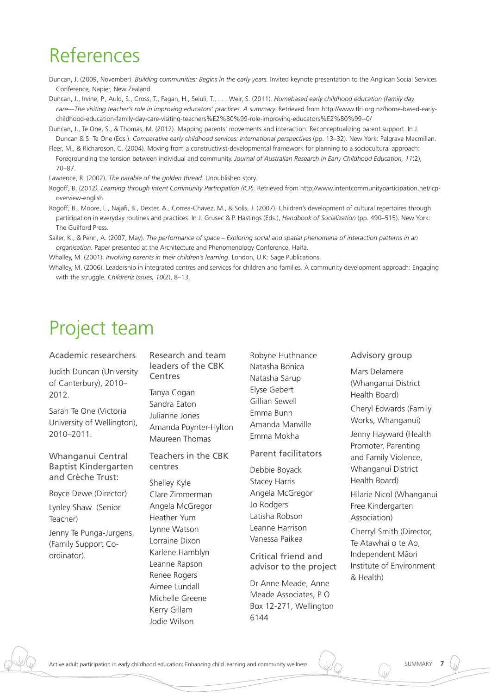### References

- Duncan, J. (2009, November). *Building communities: Begins in the early years.* Invited keynote presentation to the Anglican Social Services Conference*,* Napier, New Zealand.
- Duncan, J., Irvine, P., Auld, S., Cross, T., Fagan, H., Seiuli, T., . . . Weir, S. (2011). *Homebased early childhood education (family day care—The visiting teacher's role in improving educators' practices. A summary.* Retrieved from http://www.tlri.org.nz/home-based-earlychildhood-education-family-day-care-visiting-teachers%E2%80%99-role-improving-educators%E2%80%99--0/
- Duncan, J., Te One, S., & Thomas, M. (2012). Mapping parents' movements and interaction: Reconceptualizing parent support. In J. Duncan & S. Te One (Eds.). Comparative early childhood services: International perspectives (pp. 13-32). New York: Palgrave Macmillan.
- Fleer, M., & Richardson, C. (2004). Moving from a constructivist-developmental framework for planning to a sociocultural approach: Foregrounding the tension between individual and community. *Journal of Australian Research in Early Childhood Education, 11*(2), 70–87.

Lawrence, R. (2002). *The parable of the golden thread*. Unpublished story.

- Rogoff, B. (2012*). Learning through Intent Community Participation (ICP).* Retrieved from http://www.intentcommunityparticipation.net/icpoverview-english
- Rogoff, B., Moore, L., Najafi, B., Dexter, A., Correa-Chavez, M., & Solis, J. (2007). Children's development of cultural repertoires through participation in everyday routines and practices. In J. Grusec & P. Hastings (Eds.), *Handbook of Socialization* (pp. 490–515). New York: The Guilford Press.
- Sailer, K., & Penn, A. (2007, May). *The performance of space Exploring social and spatial phenomena of interaction patterns in an organisation*. Paper presented at the Architecture and Phenomenology Conference, Haifa.

Whalley, M. (2001). *Involving parents in their children's learning*. London, U.K: Sage Publications.

Whalley, M. (2006). Leadership in integrated centres and services for children and families. A community development approach: Engaging with the struggle. *Childrenz Issues, 10*(2), 8–13.

### Project team

Academic researchers

Judith Duncan (University of Canterbury), 2010– 2012.

Sarah Te One (Victoria University of Wellington), 2010–2011.

Whanganui Central Baptist Kindergarten and Crèche Trust:

Royce Dewe (Director)

Lynley Shaw (Senior Teacher)

Jenny Te Punga-Jurgens, (Family Support Coordinator).

Research and team leaders of the CBK Centres

Tanya Cogan Sandra Eaton Julianne Jones Amanda Poynter-Hylton Maureen Thomas

Teachers in the CBK centres

Shelley Kyle Clare Zimmerman Angela McGregor Heather Yum Lynne Watson Lorraine Dixon Karlene Hamblyn Leanne Rapson Renee Rogers Aimee Lundall Michelle Greene Kerry Gillam Jodie Wilson

Robyne Huthnance Natasha Bonica Natasha Sarup Elyse Gebert Gillian Sewell Emma Bunn Amanda Manville Emma Mokha

Parent facilitators

Debbie Boyack Stacey Harris Angela McGregor Jo Rodgers Latisha Robson Leanne Harrison Vanessa Paikea

Critical friend and advisor to the project

Dr Anne Meade, Anne Meade Associates, P O Box 12-271, Wellington 6144

Advisory group

Mars Delamere (Whanganui District Health Board) Cheryl Edwards (Family Works, Whanganui) Jenny Hayward (Health Promoter, Parenting and Family Violence, Whanganui District Health Board) Hilarie Nicol (Whanganui Free Kindergarten Association) Cherryl Smith (Director, Te Atawhai o te Ao, Independent Māori Institute of Environment & Health)